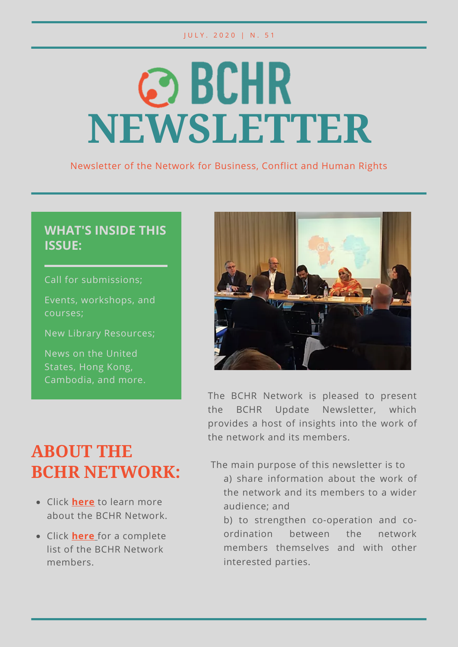#### J U L Y . 2020 | N . 51

# **@BCHR NEWSLETTER**

Newsletter of the Network for Business, Conflict and Human Rights

#### **WHAT'S INSIDE THIS ISSUE:**

Call for submissions;

Events, workshops, and courses;

New Library Resources;

News on the United States, Hong Kong, Cambodia, and more.



The BCHR Network is pleased to present the BCHR Update Newsletter, which provides a host of insights into the work of the network and its members.

# **ABOUT THE BCHR NETWORK:**

- Click **here** to learn more about the BCHR Network.
- Click **here** for a complete list of the BCHR Network members.

The main purpose of this newsletter is to

a) share information about the work of the network and its members to a wider audience; and

b) to strengthen co-operation and coordination between the network members themselves and with other interested parties.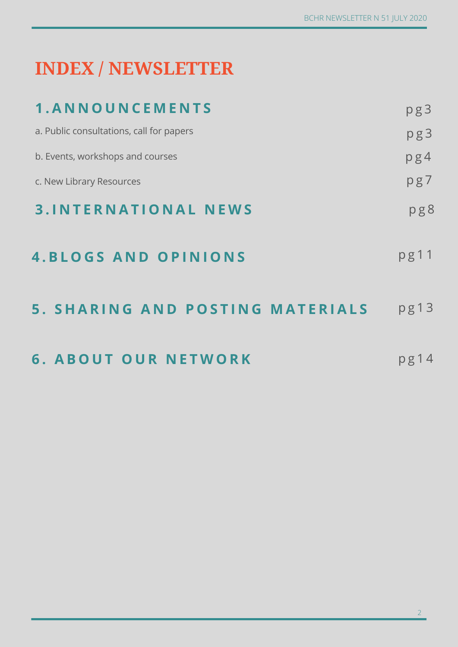# **INDEX / NEWSLETTER**

| 1. ANNOUNCEMENTS                         | pg3     |
|------------------------------------------|---------|
| a. Public consultations, call for papers | pg3     |
| b. Events, workshops and courses         | pg4     |
| c. New Library Resources                 | pg7     |
| <b>3.INTERNATIONAL NEWS</b>              | pg8     |
| <b>4. BLOGS AND OPINIONS</b>             | pg11    |
| 5. SHARING AND POSTING MATERIALS         | pg13    |
| <b>6. ABOUT OUR NETWORK</b>              | $pg$ 14 |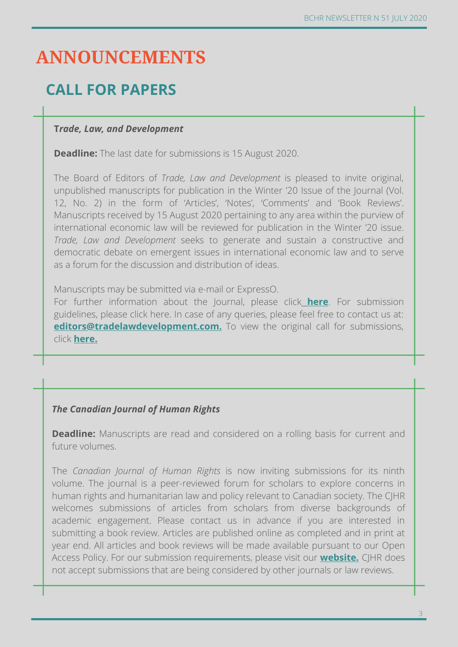# **ANNOUNCEMENTS**

## **CALL FOR PAPERS**

#### **T***rade, Law, and Development*

**Deadline:** The last date for submissions is 15 August 2020.

The Board of Editors of *Trade, Law and Development* is pleased to invite original, unpublished manuscripts for publication in the Winter '20 Issue of the Journal (Vol. 12, No. 2) in the form of 'Articles', 'Notes', 'Comments' and 'Book Reviews'. Manuscripts received by 15 August 2020 pertaining to any area within the purview of international economic law will be reviewed for publication in the Winter '20 issue. *Trade, Law and Development* seeks to generate and sustain a constructive and democratic debate on emergent issues in international economic law and to serve as a forum for the discussion and distribution of ideas.

Manuscripts may be submitted via e-mail or ExpressO.

For further information about the Journal, please click **here**. For submission guidelines, please click here. In case of any queries, please feel free to contact us at: **editors@tradelawdevelopment.com.** To view the original call for submissions, click **here.**

#### *The Canadian Journal of Human Rights*

**Deadline:** Manuscripts are read and considered on a rolling basis for current and future volumes.

The *Canadian Journal of Human Rights* is now inviting submissions for its ninth volume. The journal is a peer-reviewed forum for scholars to explore concerns in human rights and humanitarian law and policy relevant to Canadian society. The CJHR welcomes submissions of articles from scholars from diverse backgrounds of academic engagement. Please contact us in advance if you are interested in submitting a book review. Articles are published online as completed and in print at year end. All articles and book reviews will be made available pursuant to our Open Access Policy. For our submission requirements, please visit our **website.** CJHR does not accept submissions that are being considered by other journals or law reviews.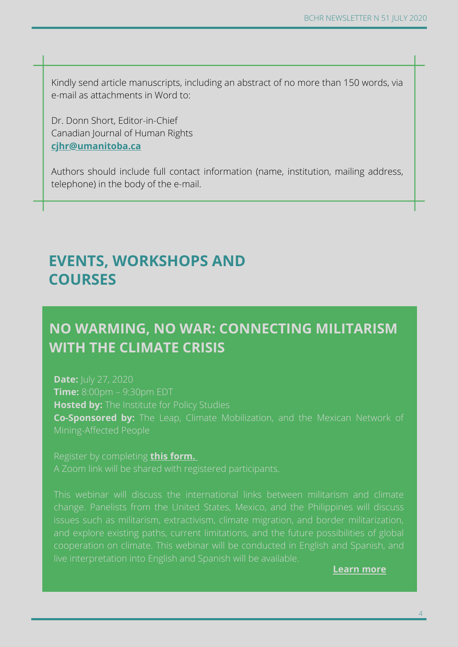Kindly send article manuscripts, including an abstract of no more than 150 words, via e-mail as attachments in Word to:

Dr. Donn Short, Editor-in-Chief Canadian Journal of Human Rights **cjhr@umanitoba.ca**

Authors should include full contact information (name, institution, mailing address, telephone) in the body of the e-mail.

#### **EVENTS, WORKSHOPS AND COURSES**

#### **NO WARMING, NO WAR: CONNECTING MILITARISM WITH THE CLIMATE CRISIS**

**Date:** July 27, 2020 **Time:** 8:00pm – 9:30pm EDT **Hosted by:** The Institute for Policy Studies **Co-Sponsored by:** The Leap, Climate Mobilization, and the Mexican Network of

Register by completing **this form.**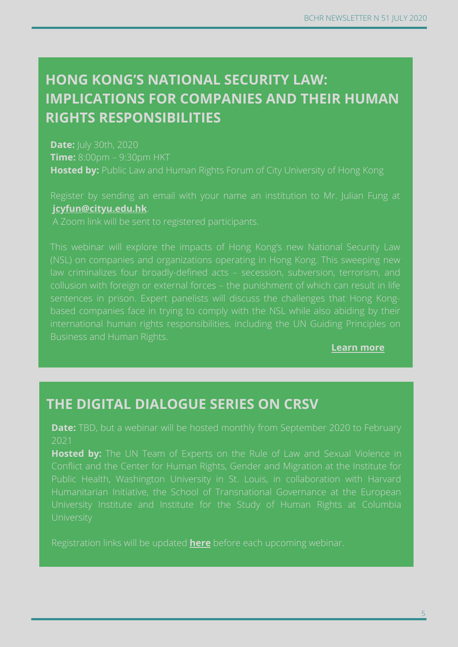## **HONG KONG'S NATIONAL SECURITY LAW: IMPLICATIONS FOR COMPANIES AND THEIR HUMAN RIGHTS RESPONSIBILITIES**

**Date:** July 30th, 2020 **Time:** 8:00pm – 9:30pm HKT **Hosted by:** Public Law and Human Rights Forum of City University of Hong Kong

**jcyfun@cityu.edu.hk**.

international human rights responsibilities, including the UN Guiding Principles on

**Learn more**

#### **THE DIGITAL DIALOGUE SERIES ON CRSV**

**Date:** TBD, but a webinar will be hosted monthly from September 2020 to February 2021

**Hosted by:** The UN Team of Experts on the Rule of Law and Sexual Violence in Humanitarian Initiative, the School of Transnational Governance at the European

Registration links will be updated **here** before each upcoming webinar.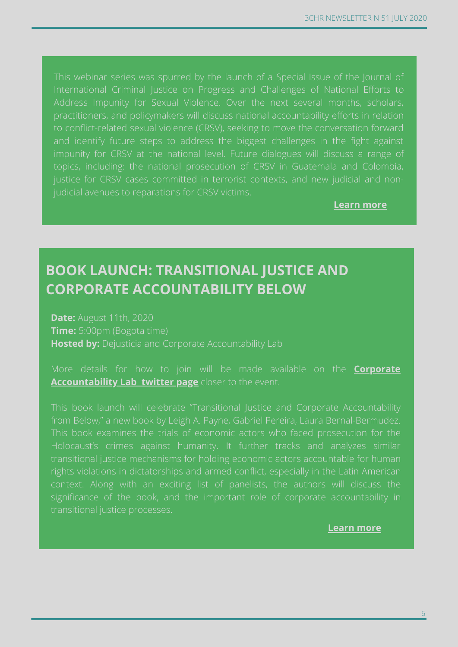International Criminal Justice on Progress and Challenges of National Efforts to practitioners, and policymakers will discuss national accountability efforts in relation and identify future steps to address the biggest challenges in the fight against topics, including: the national prosecution of CRSV in Guatemala and Colombia, judicial avenues to reparations for CRSV victims.

**Learn more**

#### **BOOK LAUNCH: TRANSITIONAL JUSTICE AND CORPORATE ACCOUNTABILITY BELOW**

**Date:** August 11th, 2020 **Time:** 5:00pm (Bogota time) **Hosted by:** Dejusticia and Corporate Accountability Lab

More details for how to join will be made available on the **Corporate Accountability Lab twitter page** closer to the event.

This book launch will celebrate "Transitional Justice and Corporate Accountability This book examines the trials of economic actors who faced prosecution for the Holocaust's crimes against humanity. It further tracks and analyzes similar transitional justice mechanisms for holding economic actors accountable for human significance of the book, and the important role of corporate accountability in transitional justice processes.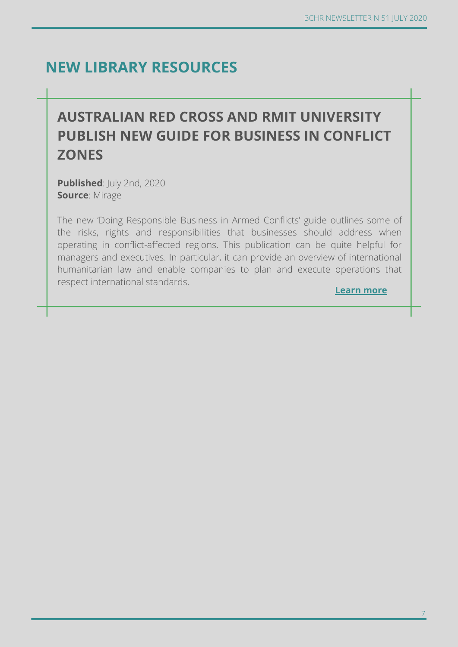**Learn more**

#### **NEW LIBRARY RESOURCES**

## **AUSTRALIAN RED CROSS AND RMIT UNIVERSITY PUBLISH NEW GUIDE FOR BUSINESS IN CONFLICT ZONES**

**Published**: July 2nd, 2020 **Source**: Mirage

The new 'Doing Responsible Business in Armed Conflicts' guide outlines some of the risks, rights and responsibilities that businesses should address when operating in conflict-affected regions. This publication can be quite helpful for managers and executives. In particular, it can provide an overview of international humanitarian law and enable companies to plan and execute operations that respect international standards.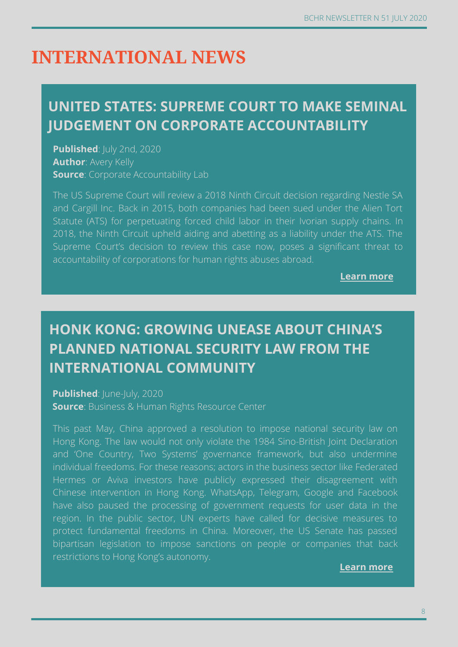# **INTERNATIONAL NEWS**

### **UNITED STATES: SUPREME COURT TO MAKE SEMINAL JUDGEMENT ON CORPORATE ACCOUNTABILITY**

**Published:** July 2nd, 2020 **Author**: Avery Kelly **Source:** Corporate Accountability Lab

The US Supreme Court will review a 2018 Ninth Circuit decision regarding Nestle SA and Cargill Inc. Back in 2015, both companies had been sued under the Alien Tort Statute (ATS) for perpetuating forced child labor in their Ivorian supply chains. In 2018, the Ninth Circuit upheld aiding and abetting as a liability under the ATS. The Supreme Court's decision to review this case now, poses a significant threat to accountability of corporations for human rights abuses abroad.

**Learn more**

## **HONK KONG: GROWING UNEASE ABOUT CHINA'S PLANNED NATIONAL SECURITY LAW FROM THE INTERNATIONAL COMMUNITY**

**Published: June-July, 2020 Source**: Business & Human Rights Resource Center

This past May, China approved a resolution to impose national security law on Hong Kong. The law would not only violate the 1984 Sino-British Joint Declaration and 'One Country, Two Systems' governance framework, but also undermine individual freedoms. For these reasons; actors in the business sector like Federated Hermes or Aviva investors have publicly expressed their disagreement with Chinese intervention in Hong Kong. WhatsApp, Telegram, Google and Facebook have also paused the processing of government requests for user data in the region. In the public sector, UN experts have called for decisive measures to protect fundamental freedoms in China. Moreover, the US Senate has passed bipartisan legislation to impose sanctions on people or companies that back restrictions to Hong Kong's autonomy.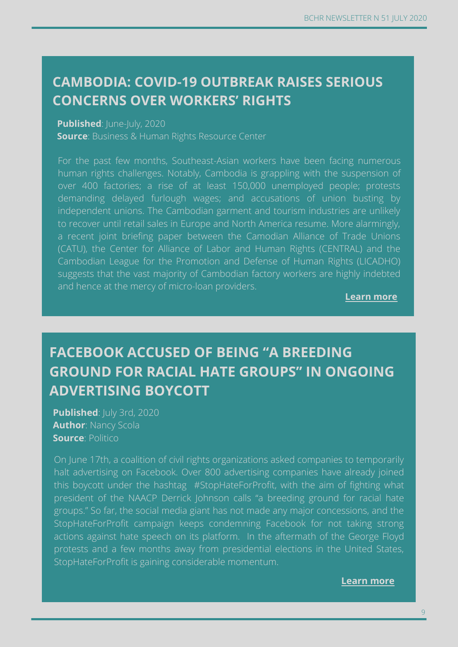#### **CAMBODIA: COVID-19 OUTBREAK RAISES SERIOUS CONCERNS OVER WORKERS' RIGHTS**

#### **Published: June-July, 2020**

**Source**: Business & Human Rights Resource Center

For the past few months, Southeast-Asian workers have been facing numerous human rights challenges. Notably, Cambodia is grappling with the suspension of over 400 factories; a rise of at least 150,000 unemployed people; protests demanding delayed furlough wages; and accusations of union busting by independent unions. The Cambodian garment and tourism industries are unlikely to recover until retail sales in Europe and North America resume. More alarmingly, a recent joint briefing paper between the Camodian Alliance of Trade Unions (CATU), the Center for Alliance of Labor and Human Rights (CENTRAL) and the Cambodian League for the Promotion and Defense of Human Rights (LICADHO) suggests that the vast majority of Cambodian factory workers are highly indebted and hence at the mercy of micro-loan providers.

**Learn more**

## **FACEBOOK ACCUSED OF BEING "A BREEDING GROUND FOR RACIAL HATE GROUPS" IN ONGOING ADVERTISING BOYCOTT**

**Published**: July 3rd, 2020 **Author**: Nancy Scola **Source: Politico** 

On June 17th, a coalition of civil rights organizations asked companies to temporarily halt advertising on Facebook. Over 800 advertising companies have already joined this boycott under the hashtag #StopHateForProfit, with the aim of fighting what president of the NAACP Derrick Johnson calls "a breeding ground for racial hate groups." So far, the social media giant has not made any major concessions, and the StopHateForProfit campaign keeps condemning Facebook for not taking strong actions against hate speech on its platform. In the aftermath of the George Floyd protests and a few months away from presidential elections in the United States, StopHateForProfit is gaining considerable momentum.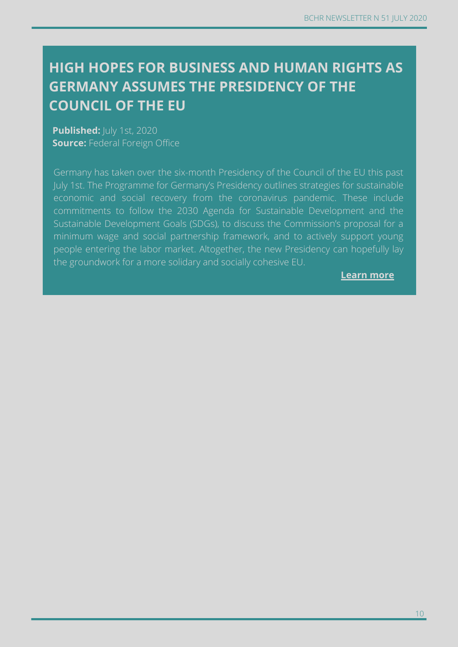#### **HIGH HOPES FOR BUSINESS AND HUMAN RIGHTS AS GERMANY ASSUMES THE PRESIDENCY OF THE COUNCIL OF THE EU**

**Published:**  $|$ uly 1st, 2020 **Source: Federal Foreign Office** 

Germany has taken over the six-month Presidency of the Council of the EU this past July 1st. The Programme for Germany's Presidency outlines strategies for sustainable economic and social recovery from the coronavirus pandemic. These include commitments to follow the 2030 Agenda for Sustainable Development and the Sustainable Development Goals (SDGs), to discuss the Commission's proposal for a minimum wage and social partnership framework, and to actively support young people entering the labor market. Altogether, the new Presidency can hopefully lay the groundwork for a more solidary and socially cohesive EU.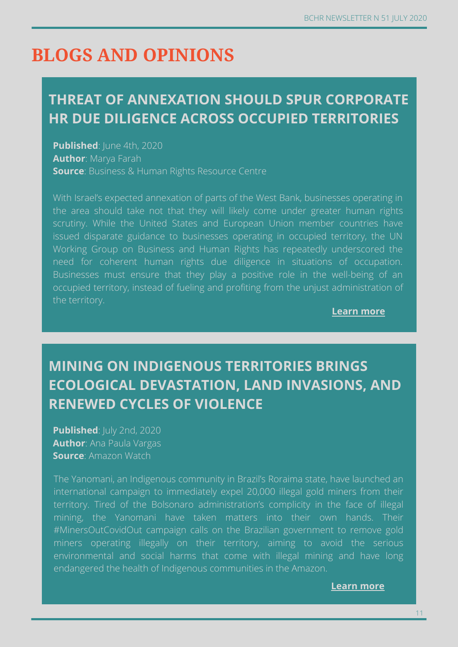# **BLOGS AND OPINIONS**

#### **THREAT OF ANNEXATION SHOULD SPUR CORPORATE HR DUE DILIGENCE ACROSS OCCUPIED TERRITORIES**

**Published:** June 4th, 2020 **Author**: Marya Farah **Source**: Business & Human Rights Resource Centre

With Israel's expected annexation of parts of the West Bank, businesses operating in the area should take not that they will likely come under greater human rights scrutiny. While the United States and European Union member countries have issued disparate guidance to businesses operating in occupied territory, the UN Working Group on Business and Human Rights has repeatedly underscored the need for coherent human rights due diligence in situations of occupation. Businesses must ensure that they play a positive role in the well-being of an occupied territory, instead of fueling and profiting from the unjust administration of the territory.

**Learn more**

## **MINING ON INDIGENOUS TERRITORIES BRINGS ECOLOGICAL DEVASTATION, LAND INVASIONS, AND RENEWED CYCLES OF VIOLENCE**

**Published**: July 2nd, 2020 **Author**: Ana Paula Vargas **Source**: Amazon Watch

The Yanomani, an Indigenous community in Brazil's Roraima state, have launched an international campaign to immediately expel 20,000 illegal gold miners from their territory. Tired of the Bolsonaro administration's complicity in the face of illegal mining, the Yanomani have taken matters into their own hands. Their #MinersOutCovidOut campaign calls on the Brazilian government to remove gold miners operating illegally on their territory, aiming to avoid the serious environmental and social harms that come with illegal mining and have long endangered the health of Indigenous communities in the Amazon.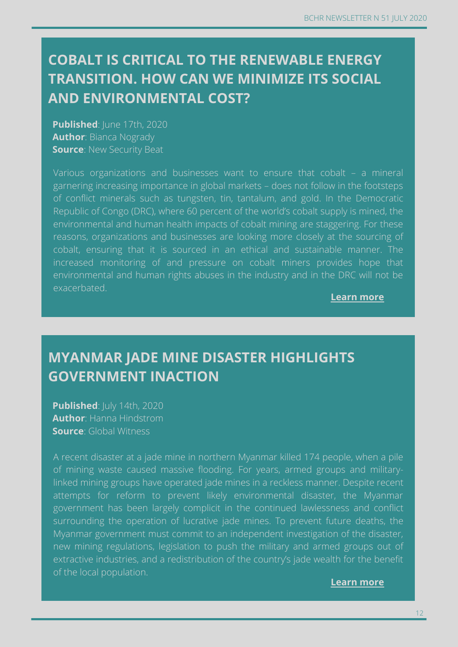#### **COBALT IS CRITICAL TO THE RENEWABLE ENERGY TRANSITION. HOW CAN WE MINIMIZE ITS SOCIAL AND ENVIRONMENTAL COST?**

**Published: June 17th, 2020 Author**: Bianca Nogrady **Source: New Security Beat** 

Various organizations and businesses want to ensure that cobalt – a mineral garnering increasing importance in global markets – does not follow in the footsteps of conflict minerals such as tungsten, tin, tantalum, and gold. In the Democratic Republic of Congo (DRC), where 60 percent of the world's cobalt supply is mined, the environmental and human health impacts of cobalt mining are staggering. For these reasons, organizations and businesses are looking more closely at the sourcing of cobalt, ensuring that it is sourced in an ethical and sustainable manner. The increased monitoring of and pressure on cobalt miners provides hope that environmental and human rights abuses in the industry and in the DRC will not be exacerbated.

**Learn more**

#### **MYANMAR JADE MINE DISASTER HIGHLIGHTS GOVERNMENT INACTION**

**Published**: July 14th, 2020 **Author**: Hanna Hindstrom **Source**: Global Witness

A recent disaster at a jade mine in northern Myanmar killed 174 people, when a pile of mining waste caused massive flooding. For years, armed groups and militarylinked mining groups have operated jade mines in a reckless manner. Despite recent attempts for reform to prevent likely environmental disaster, the Myanmar government has been largely complicit in the continued lawlessness and conflict surrounding the operation of lucrative jade mines. To prevent future deaths, the Myanmar government must commit to an independent investigation of the disaster, new mining regulations, legislation to push the military and armed groups out of extractive industries, and a redistribution of the country's jade wealth for the benefit of the local population.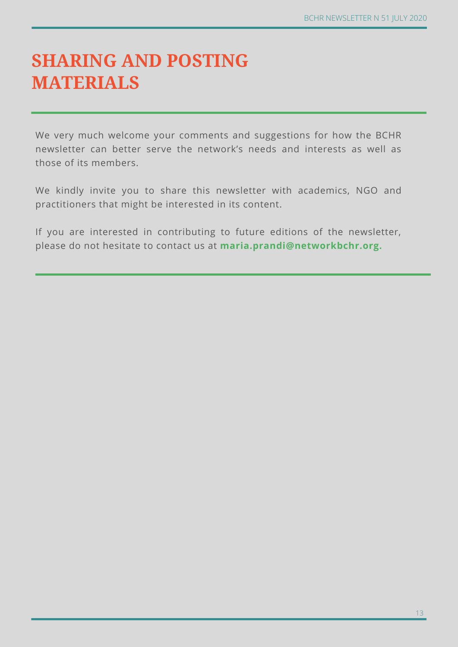# **SHARING AND POSTING MATERIALS**

We very much welcome your comments and suggestions for how the BCHR newsletter can better serve the network's needs and interests as well as those of its members.

We kindly invite you to share this newsletter with academics, NGO and practitioners that might be interested in its content.

If you are interested in contributing to future editions of the newsletter, please do not hesitate to contact us at **maria.prandi@networkbchr.org.**